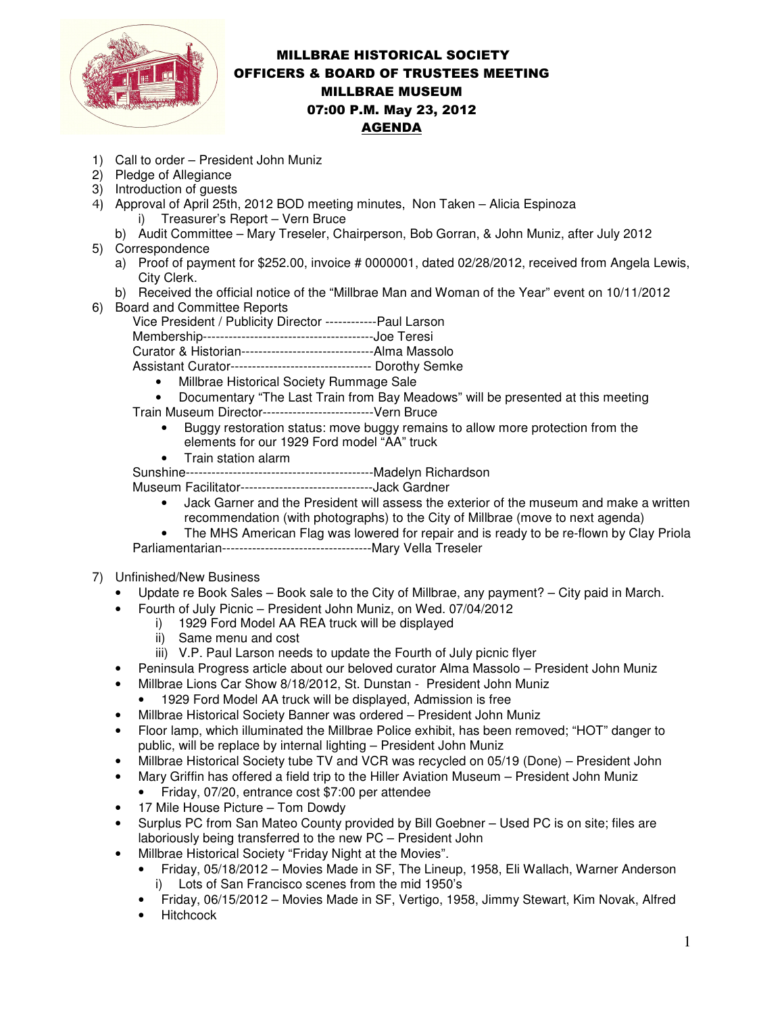

## MILLBRAE HISTORICAL SOCIETY OFFICERS & BOARD OF TRUSTEES MEETING MILLBRAE MUSEUM 07:00 P.M. May 23, 2012 AGENDA

- 1) Call to order President John Muniz
- 2) Pledge of Allegiance
- 3) Introduction of guests
- 4) Approval of April 25th, 2012 BOD meeting minutes, Non Taken Alicia Espinoza i) Treasurer's Report – Vern Bruce
	- b) Audit Committee Mary Treseler, Chairperson, Bob Gorran, & John Muniz, after July 2012
- 5) Correspondence
	- a) Proof of payment for \$252.00, invoice # 0000001, dated 02/28/2012, received from Angela Lewis, City Clerk.
	- b) Received the official notice of the "Millbrae Man and Woman of the Year" event on 10/11/2012
- 6) Board and Committee Reports

Vice President / Publicity Director ------------Paul Larson Membership----------------------------------------Joe Teresi

Curator & Historian-------------------------------Alma Massolo

- Assistant Curator--------------------------------- Dorothy Semke
	- Millbrae Historical Society Rummage Sale
- Documentary "The Last Train from Bay Meadows" will be presented at this meeting

Train Museum Director--------------------------Vern Bruce

- Buggy restoration status: move buggy remains to allow more protection from the elements for our 1929 Ford model "AA" truck
- Train station alarm

Sunshine--------------------------------------------Madelyn Richardson

Museum Facilitator-------------------------------Jack Gardner

- Jack Garner and the President will assess the exterior of the museum and make a written recommendation (with photographs) to the City of Millbrae (move to next agenda)
- The MHS American Flag was lowered for repair and is ready to be re-flown by Clay Priola Parliamentarian-----------------------------------Mary Vella Treseler
- 7) Unfinished/New Business
	- Update re Book Sales Book sale to the City of Millbrae, any payment? City paid in March.
	- Fourth of July Picnic President John Muniz, on Wed. 07/04/2012
		- i) 1929 Ford Model AA REA truck will be displayed
			- ii) Same menu and cost
		- iii) V.P. Paul Larson needs to update the Fourth of July picnic flyer
	- Peninsula Progress article about our beloved curator Alma Massolo President John Muniz
	- Millbrae Lions Car Show 8/18/2012, St. Dunstan President John Muniz
		- 1929 Ford Model AA truck will be displayed, Admission is free
	- Millbrae Historical Society Banner was ordered President John Muniz
	- Floor lamp, which illuminated the Millbrae Police exhibit, has been removed; "HOT" danger to public, will be replace by internal lighting – President John Muniz
	- Millbrae Historical Society tube TV and VCR was recycled on 05/19 (Done) President John
	- Mary Griffin has offered a field trip to the Hiller Aviation Museum President John Muniz
		- Friday, 07/20, entrance cost \$7:00 per attendee
	- 17 Mile House Picture Tom Dowdy
	- Surplus PC from San Mateo County provided by Bill Goebner Used PC is on site; files are laboriously being transferred to the new PC – President John
	- Millbrae Historical Society "Friday Night at the Movies".
		- Friday, 05/18/2012 Movies Made in SF, The Lineup, 1958, Eli Wallach, Warner Anderson i) Lots of San Francisco scenes from the mid 1950's
		- Friday, 06/15/2012 Movies Made in SF, Vertigo, 1958, Jimmy Stewart, Kim Novak, Alfred
		- Hitchcock